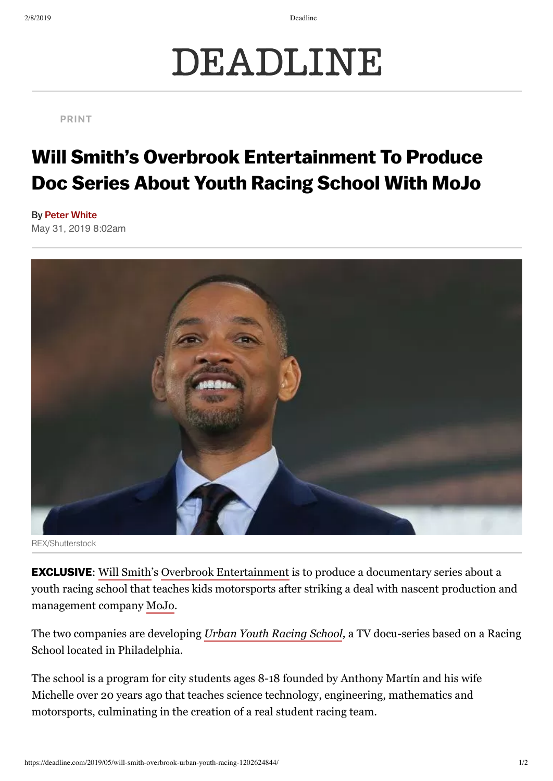2/8/2019 Deadline

## DEADLINE

## PRINT

## Will Smith's Overbrook Entertainment To Produce Doc Series About Youth Racing School With MoJo

May 31, 2019 8:02am By Peter [White](https://deadline.com/author/peter-white/)



REX/Shutterstock

**EXCLUSIVE:** Will Smith's Overbrook Entertainment is to produce a documentary series about a youth racing school that teaches kids motorsports after striking a deal with nascent production and management company [MoJo.](https://deadline.com/tag/mojo/)

The two companies are developing *Urban Youth Racing School*, a TV docu-series based on a Racing School located in Philadelphia.

The school is a program for city students ages 8-18 founded by Anthony Martín and his wife Michelle over 20 years ago that teaches science technology, engineering, mathematics and motorsports, culminating in the creation of a real student racing team.